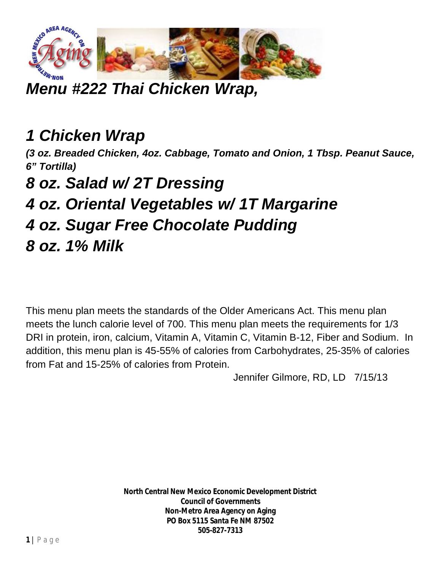

*Menu #222 Thai Chicken Wrap,*

## *1 Chicken Wrap*

*(3 oz. Breaded Chicken, 4oz. Cabbage, Tomato and Onion, 1 Tbsp. Peanut Sauce, 6" Tortilla)* 

*8 oz. Salad w/ 2T Dressing*

*4 oz. Oriental Vegetables w/ 1T Margarine*

- *4 oz. Sugar Free Chocolate Pudding*
- *8 oz. 1% Milk*

This menu plan meets the standards of the Older Americans Act. This menu plan meets the lunch calorie level of 700. This menu plan meets the requirements for 1/3 DRI in protein, iron, calcium, Vitamin A, Vitamin C, Vitamin B-12, Fiber and Sodium. In addition, this menu plan is 45-55% of calories from Carbohydrates, 25-35% of calories from Fat and 15-25% of calories from Protein.

Jennifer Gilmore, RD, LD 7/15/13

**North Central New Mexico Economic Development District Council of Governments Non-Metro Area Agency on Aging PO Box 5115 Santa Fe NM 87502 505-827-7313**